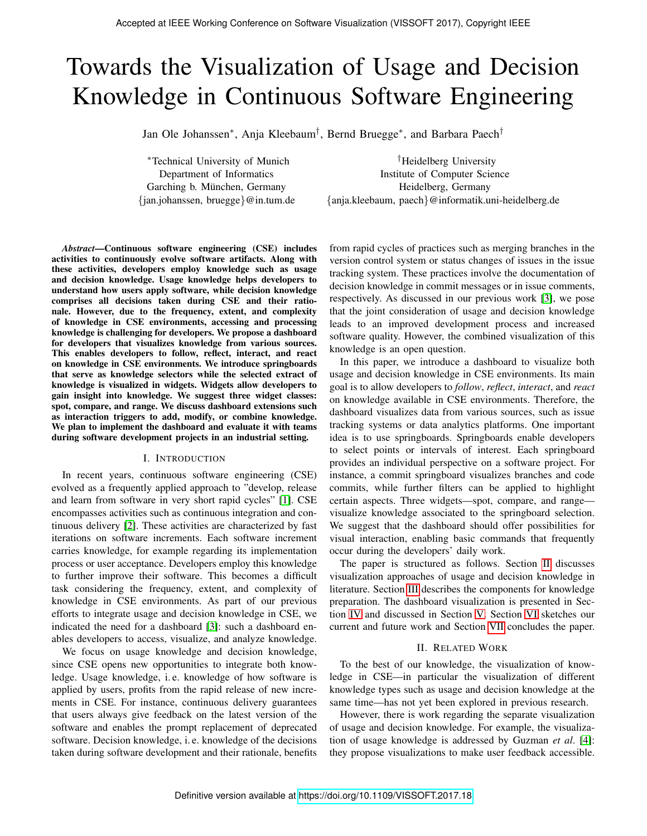# Towards the Visualization of Usage and Decision Knowledge in Continuous Software Engineering

Jan Ole Johanssen<sup>∗</sup> , Anja Kleebaum† , Bernd Bruegge<sup>∗</sup> , and Barbara Paech†

<sup>∗</sup>Technical University of Munich Department of Informatics Garching b. München, Germany {jan.johanssen, bruegge}@in.tum.de

†Heidelberg University Institute of Computer Science Heidelberg, Germany {anja.kleebaum, paech}@informatik.uni-heidelberg.de

*Abstract*—Continuous software engineering (CSE) includes activities to continuously evolve software artifacts. Along with these activities, developers employ knowledge such as usage and decision knowledge. Usage knowledge helps developers to understand how users apply software, while decision knowledge comprises all decisions taken during CSE and their rationale. However, due to the frequency, extent, and complexity of knowledge in CSE environments, accessing and processing knowledge is challenging for developers. We propose a dashboard for developers that visualizes knowledge from various sources. This enables developers to follow, reflect, interact, and react on knowledge in CSE environments. We introduce springboards that serve as knowledge selectors while the selected extract of knowledge is visualized in widgets. Widgets allow developers to gain insight into knowledge. We suggest three widget classes: spot, compare, and range. We discuss dashboard extensions such as interaction triggers to add, modify, or combine knowledge. We plan to implement the dashboard and evaluate it with teams during software development projects in an industrial setting.

## I. INTRODUCTION

In recent years, continuous software engineering (CSE) evolved as a frequently applied approach to "develop, release and learn from software in very short rapid cycles" [\[1\]](#page-4-0). CSE encompasses activities such as continuous integration and continuous delivery [\[2\]](#page-4-1). These activities are characterized by fast iterations on software increments. Each software increment carries knowledge, for example regarding its implementation process or user acceptance. Developers employ this knowledge to further improve their software. This becomes a difficult task considering the frequency, extent, and complexity of knowledge in CSE environments. As part of our previous efforts to integrate usage and decision knowledge in CSE, we indicated the need for a dashboard [\[3\]](#page-4-2): such a dashboard enables developers to access, visualize, and analyze knowledge.

We focus on usage knowledge and decision knowledge, since CSE opens new opportunities to integrate both knowledge. Usage knowledge, i. e. knowledge of how software is applied by users, profits from the rapid release of new increments in CSE. For instance, continuous delivery guarantees that users always give feedback on the latest version of the software and enables the prompt replacement of deprecated software. Decision knowledge, i. e. knowledge of the decisions taken during software development and their rationale, benefits

from rapid cycles of practices such as merging branches in the version control system or status changes of issues in the issue tracking system. These practices involve the documentation of decision knowledge in commit messages or in issue comments, respectively. As discussed in our previous work [\[3\]](#page-4-2), we pose that the joint consideration of usage and decision knowledge leads to an improved development process and increased software quality. However, the combined visualization of this knowledge is an open question.

In this paper, we introduce a dashboard to visualize both usage and decision knowledge in CSE environments. Its main goal is to allow developers to *follow*, *reflect*, *interact*, and *react* on knowledge available in CSE environments. Therefore, the dashboard visualizes data from various sources, such as issue tracking systems or data analytics platforms. One important idea is to use springboards. Springboards enable developers to select points or intervals of interest. Each springboard provides an individual perspective on a software project. For instance, a commit springboard visualizes branches and code commits, while further filters can be applied to highlight certain aspects. Three widgets—spot, compare, and range visualize knowledge associated to the springboard selection. We suggest that the dashboard should offer possibilities for visual interaction, enabling basic commands that frequently occur during the developers' daily work.

The paper is structured as follows. Section [II](#page-0-0) discusses visualization approaches of usage and decision knowledge in literature. Section [III](#page-1-0) describes the components for knowledge preparation. The dashboard visualization is presented in Section [IV](#page-1-1) and discussed in Section [V.](#page-4-3) Section [VI](#page-4-4) sketches our current and future work and Section [VII](#page-4-5) concludes the paper.

## II. RELATED WORK

<span id="page-0-0"></span>To the best of our knowledge, the visualization of knowledge in CSE—in particular the visualization of different knowledge types such as usage and decision knowledge at the same time—has not yet been explored in previous research.

However, there is work regarding the separate visualization of usage and decision knowledge. For example, the visualization of usage knowledge is addressed by Guzman *et al*. [\[4\]](#page-4-6): they propose visualizations to make user feedback accessible.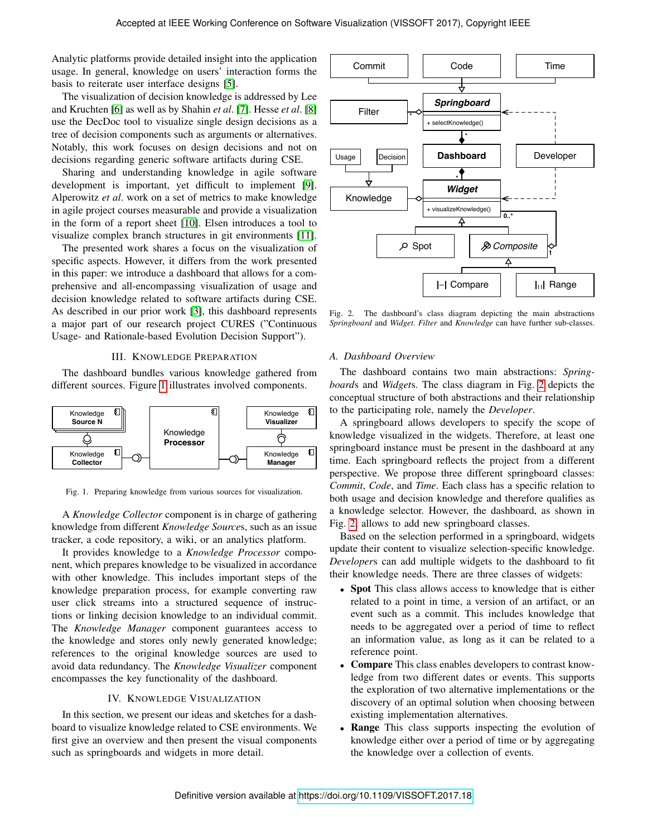Analytic platforms provide detailed insight into the application usage. In general, knowledge on users' interaction forms the basis to reiterate user interface designs [\[5\]](#page-4-7).

The visualization of decision knowledge is addressed by Lee and Kruchten [\[6\]](#page-4-8) as well as by Shahin *et al*. [\[7\]](#page-4-9). Hesse *et al*. [\[8\]](#page-4-10) use the DecDoc tool to visualize single design decisions as a tree of decision components such as arguments or alternatives. Notably, this work focuses on design decisions and not on decisions regarding generic software artifacts during CSE.

Sharing and understanding knowledge in agile software development is important, yet difficult to implement [\[9\]](#page-4-11). Alperowitz *et al*. work on a set of metrics to make knowledge in agile project courses measurable and provide a visualization in the form of a report sheet [\[10\]](#page-4-12). Elsen introduces a tool to visualize complex branch structures in git environments [\[11\]](#page-4-13).

The presented work shares a focus on the visualization of specific aspects. However, it differs from the work presented in this paper: we introduce a dashboard that allows for a comprehensive and all-encompassing visualization of usage and decision knowledge related to software artifacts during CSE. As described in our prior work [\[3\]](#page-4-2), this dashboard represents a major part of our research project CURES ("Continuous Usage- and Rationale-based Evolution Decision Support").

#### III. KNOWLEDGE PREPARATION

<span id="page-1-0"></span>The dashboard bundles various knowledge gathered from different sources. Figure [1](#page-1-2) illustrates involved components.



<span id="page-1-2"></span>Fig. 1. Preparing knowledge from various sources for visualization.

A *Knowledge Collector* component is in charge of gathering knowledge from different *Knowledge Source*s, such as an issue tracker, a code repository, a wiki, or an analytics platform.

It provides knowledge to a *Knowledge Processor* component, which prepares knowledge to be visualized in accordance with other knowledge. This includes important steps of the knowledge preparation process, for example converting raw user click streams into a structured sequence of instructions or linking decision knowledge to an individual commit. The *Knowledge Manager* component guarantees access to the knowledge and stores only newly generated knowledge; references to the original knowledge sources are used to avoid data redundancy. The *Knowledge Visualizer* component encompasses the key functionality of the dashboard.

#### IV. KNOWLEDGE VISUALIZATION

<span id="page-1-1"></span>In this section, we present our ideas and sketches for a dashboard to visualize knowledge related to CSE environments. We first give an overview and then present the visual components such as springboards and widgets in more detail.



<span id="page-1-3"></span>Fig. 2. The dashboard's class diagram depicting the main abstractions *Springboard* and *Widget*. *Filter* and *Knowledge* can have further sub-classes.

#### *A. Dashboard Overview*

The dashboard contains two main abstractions: *Springboard*s and *Widget*s. The class diagram in Fig. [2](#page-1-3) depicts the conceptual structure of both abstractions and their relationship to the participating role, namely the *Developer*.

A springboard allows developers to specify the scope of knowledge visualized in the widgets. Therefore, at least one springboard instance must be present in the dashboard at any time. Each springboard reflects the project from a different perspective. We propose three different springboard classes: *Commit*, *Code*, and *Time*. Each class has a specific relation to both usage and decision knowledge and therefore qualifies as a knowledge selector. However, the dashboard, as shown in Fig. [2,](#page-1-3) allows to add new springboard classes.

Based on the selection performed in a springboard, widgets update their content to visualize selection-specific knowledge. *Developer*s can add multiple widgets to the dashboard to fit their knowledge needs. There are three classes of widgets:

- Spot This class allows access to knowledge that is either related to a point in time, a version of an artifact, or an event such as a commit. This includes knowledge that needs to be aggregated over a period of time to reflect an information value, as long as it can be related to a reference point.
- Compare This class enables developers to contrast knowledge from two different dates or events. This supports the exploration of two alternative implementations or the discovery of an optimal solution when choosing between existing implementation alternatives.
- **Range** This class supports inspecting the evolution of knowledge either over a period of time or by aggregating the knowledge over a collection of events.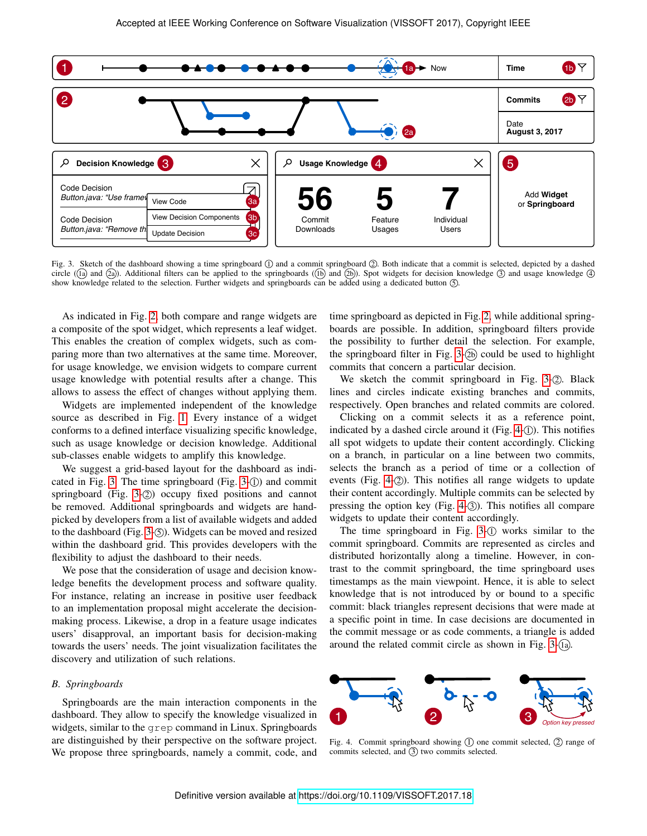

<span id="page-2-0"></span>Fig. 3. Sketch of the dashboard showing a time springboard  $\mathbb D$  and a commit springboard  $\mathbb Q$ . Both indicate that a commit is selected, depicted by a dashed circle ( $\overline{a}$ ) and  $\overline{a}$ )). Additional filters can be applied to the springboards ( $\overline{b}$ ) and  $\overline{a}$ )). Spot widgets for decision knowledge  $\overline{a}$ ) and usage knowledge  $\overline{a}$ show knowledge related to the selection. Further widgets and springboards can be added using a dedicated button  $\circledS$ .

As indicated in Fig. [2,](#page-1-3) both compare and range widgets are a composite of the spot widget, which represents a leaf widget. This enables the creation of complex widgets, such as comparing more than two alternatives at the same time. Moreover, for usage knowledge, we envision widgets to compare current usage knowledge with potential results after a change. This allows to assess the effect of changes without applying them.

Widgets are implemented independent of the knowledge source as described in Fig. [1.](#page-1-2) Every instance of a widget conforms to a defined interface visualizing specific knowledge, such as usage knowledge or decision knowledge. Additional sub-classes enable widgets to amplify this knowledge.

We suggest a grid-based layout for the dashboard as indi-cated in Fig. [3.](#page-2-0) The time springboard (Fig.  $3-(1)$ ) and commit springboard (Fig. [3-](#page-2-0) $(2)$ ) occupy fixed positions and cannot be removed. Additional springboards and widgets are handpicked by developers from a list of available widgets and added to the dashboard (Fig.  $3-(5)$ ). Widgets can be moved and resized within the dashboard grid. This provides developers with the flexibility to adjust the dashboard to their needs.

We pose that the consideration of usage and decision knowledge benefits the development process and software quality. For instance, relating an increase in positive user feedback to an implementation proposal might accelerate the decisionmaking process. Likewise, a drop in a feature usage indicates users' disapproval, an important basis for decision-making towards the users' needs. The joint visualization facilitates the discovery and utilization of such relations.

## *B. Springboards*

Springboards are the main interaction components in the dashboard. They allow to specify the knowledge visualized in widgets, similar to the grep command in Linux. Springboards are distinguished by their perspective on the software project. We propose three springboards, namely a commit, code, and time springboard as depicted in Fig. [2,](#page-1-3) while additional springboards are possible. In addition, springboard filters provide the possibility to further detail the selection. For example, the springboard filter in Fig.  $3-(2b)$  could be used to highlight commits that concern a particular decision.

We sketch the commit springboard in Fig.  $3-2$ . Black lines and circles indicate existing branches and commits, respectively. Open branches and related commits are colored.

Clicking on a commit selects it as a reference point, indicated by a dashed circle around it (Fig. [4-](#page-2-1) $(I)$ ). This notifies all spot widgets to update their content accordingly. Clicking on a branch, in particular on a line between two commits, selects the branch as a period of time or a collection of events (Fig. [4-](#page-2-1) $(2)$ ). This notifies all range widgets to update their content accordingly. Multiple commits can be selected by pressing the option key (Fig.  $4-3$ ). This notifies all compare widgets to update their content accordingly.

The time springboard in Fig.  $3-①$  works similar to the commit springboard. Commits are represented as circles and distributed horizontally along a timeline. However, in contrast to the commit springboard, the time springboard uses timestamps as the main viewpoint. Hence, it is able to select knowledge that is not introduced by or bound to a specific commit: black triangles represent decisions that were made at a specific point in time. In case decisions are documented in the commit message or as code comments, a triangle is added around the related commit circle as shown in Fig.  $3-(1a)$ .



<span id="page-2-1"></span>Fig. 4. Commit springboard showing  $(1)$  one commit selected,  $(2)$  range of commits selected, and  $(3)$  two commits selected.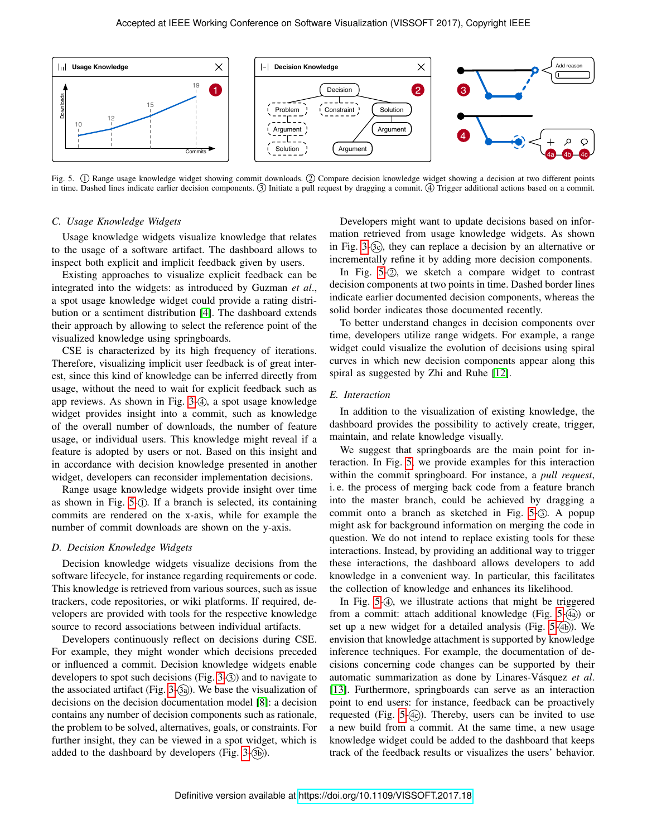

<span id="page-3-0"></span>Fig. 5. ① Range usage knowledge widget showing commit downloads. ② Compare decision knowledge widget showing a decision at two different points in time. Dashed lines indicate earlier decision components. 3 Initiate a pull request by dragging a commit. 4 Trigger additional actions based on a commit.

## *C. Usage Knowledge Widgets*

Usage knowledge widgets visualize knowledge that relates to the usage of a software artifact. The dashboard allows to inspect both explicit and implicit feedback given by users.

Existing approaches to visualize explicit feedback can be integrated into the widgets: as introduced by Guzman *et al*., a spot usage knowledge widget could provide a rating distribution or a sentiment distribution [\[4\]](#page-4-6). The dashboard extends their approach by allowing to select the reference point of the visualized knowledge using springboards.

CSE is characterized by its high frequency of iterations. Therefore, visualizing implicit user feedback is of great interest, since this kind of knowledge can be inferred directly from usage, without the need to wait for explicit feedback such as app reviews. As shown in Fig.  $3-4$ , a spot usage knowledge widget provides insight into a commit, such as knowledge of the overall number of downloads, the number of feature usage, or individual users. This knowledge might reveal if a feature is adopted by users or not. Based on this insight and in accordance with decision knowledge presented in another widget, developers can reconsider implementation decisions.

Range usage knowledge widgets provide insight over time as shown in Fig. [5-](#page-3-0)1. If a branch is selected, its containing commits are rendered on the x-axis, while for example the number of commit downloads are shown on the y-axis.

### *D. Decision Knowledge Widgets*

Decision knowledge widgets visualize decisions from the software lifecycle, for instance regarding requirements or code. This knowledge is retrieved from various sources, such as issue trackers, code repositories, or wiki platforms. If required, developers are provided with tools for the respective knowledge source to record associations between individual artifacts.

Developers continuously reflect on decisions during CSE. For example, they might wonder which decisions preceded or influenced a commit. Decision knowledge widgets enable developers to spot such decisions (Fig.  $3-3$ ) and to navigate to the associated artifact (Fig. [3-](#page-2-0) $(3a)$ ). We base the visualization of decisions on the decision documentation model [\[8\]](#page-4-10): a decision contains any number of decision components such as rationale, the problem to be solved, alternatives, goals, or constraints. For further insight, they can be viewed in a spot widget, which is added to the dashboard by developers (Fig.  $3-(3b)$ ).

Developers might want to update decisions based on information retrieved from usage knowledge widgets. As shown in Fig. [3-](#page-2-0) $(3c)$ , they can replace a decision by an alternative or incrementally refine it by adding more decision components.

In Fig.  $5-\mathcal{Q}$ , we sketch a compare widget to contrast decision components at two points in time. Dashed border lines indicate earlier documented decision components, whereas the solid border indicates those documented recently.

To better understand changes in decision components over time, developers utilize range widgets. For example, a range widget could visualize the evolution of decisions using spiral curves in which new decision components appear along this spiral as suggested by Zhi and Ruhe [\[12\]](#page-4-14).

## *E. Interaction*

In addition to the visualization of existing knowledge, the dashboard provides the possibility to actively create, trigger, maintain, and relate knowledge visually.

We suggest that springboards are the main point for interaction. In Fig. [5,](#page-3-0) we provide examples for this interaction within the commit springboard. For instance, a *pull request*, i. e. the process of merging back code from a feature branch into the master branch, could be achieved by dragging a commit onto a branch as sketched in Fig.  $5-\sqrt{3}$ . A popup might ask for background information on merging the code in question. We do not intend to replace existing tools for these interactions. Instead, by providing an additional way to trigger these interactions, the dashboard allows developers to add knowledge in a convenient way. In particular, this facilitates the collection of knowledge and enhances its likelihood.

In Fig.  $5-(4)$ , we illustrate actions that might be triggered from a commit: attach additional knowledge (Fig.  $5-(4a)$ ) or set up a new widget for a detailed analysis (Fig.  $5-(4b)$ ). We envision that knowledge attachment is supported by knowledge inference techniques. For example, the documentation of decisions concerning code changes can be supported by their automatic summarization as done by Linares-Vásquez et al. [\[13\]](#page-4-15). Furthermore, springboards can serve as an interaction point to end users: for instance, feedback can be proactively requested (Fig.  $5-(4c)$ ). Thereby, users can be invited to use a new build from a commit. At the same time, a new usage knowledge widget could be added to the dashboard that keeps track of the feedback results or visualizes the users' behavior.